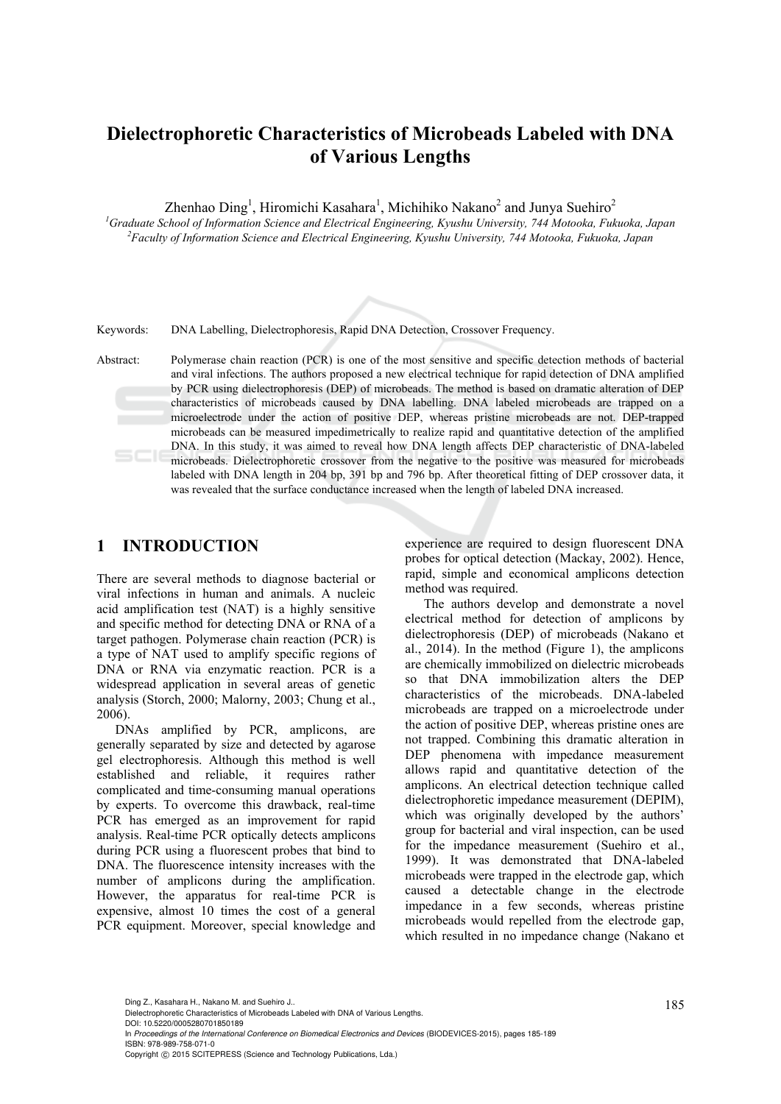# **Dielectrophoretic Characteristics of Microbeads Labeled with DNA of Various Lengths**

Zhenhao Ding<sup>1</sup>, Hiromichi Kasahara<sup>1</sup>, Michihiko Nakano<sup>2</sup> and Junya Suehiro<sup>2</sup>

<sup>1</sup> Graduate School of Information Science and Electrical Engineering, Kyushu University, 744 Motooka, Fukuoka, Japan <sup>2</sup> Eggultu of Information Science and Electrical Engineering, Kyushu University, 744 Motooka, Eulugka, *Faculty of Information Science and Electrical Engineering, Kyushu University, 744 Motooka, Fukuoka, Japan* 

Keywords: DNA Labelling, Dielectrophoresis, Rapid DNA Detection, Crossover Frequency.

Abstract: Polymerase chain reaction (PCR) is one of the most sensitive and specific detection methods of bacterial and viral infections. The authors proposed a new electrical technique for rapid detection of DNA amplified by PCR using dielectrophoresis (DEP) of microbeads. The method is based on dramatic alteration of DEP characteristics of microbeads caused by DNA labelling. DNA labeled microbeads are trapped on a microelectrode under the action of positive DEP, whereas pristine microbeads are not. DEP-trapped microbeads can be measured impedimetrically to realize rapid and quantitative detection of the amplified DNA. In this study, it was aimed to reveal how DNA length affects DEP characteristic of DNA-labeled microbeads. Dielectrophoretic crossover from the negative to the positive was measured for microbeads labeled with DNA length in 204 bp, 391 bp and 796 bp. After theoretical fitting of DEP crossover data, it was revealed that the surface conductance increased when the length of labeled DNA increased.

# **1 INTRODUCTION**

There are several methods to diagnose bacterial or viral infections in human and animals. A nucleic acid amplification test (NAT) is a highly sensitive and specific method for detecting DNA or RNA of a target pathogen. Polymerase chain reaction (PCR) is a type of NAT used to amplify specific regions of DNA or RNA via enzymatic reaction. PCR is a widespread application in several areas of genetic analysis (Storch, 2000; Malorny, 2003; Chung et al., 2006).

DNAs amplified by PCR, amplicons, are generally separated by size and detected by agarose gel electrophoresis. Although this method is well established and reliable, it requires rather complicated and time-consuming manual operations by experts. To overcome this drawback, real-time PCR has emerged as an improvement for rapid analysis. Real-time PCR optically detects amplicons during PCR using a fluorescent probes that bind to DNA. The fluorescence intensity increases with the number of amplicons during the amplification. However, the apparatus for real-time PCR is expensive, almost 10 times the cost of a general PCR equipment. Moreover, special knowledge and experience are required to design fluorescent DNA probes for optical detection (Mackay, 2002). Hence, rapid, simple and economical amplicons detection method was required.

The authors develop and demonstrate a novel electrical method for detection of amplicons by dielectrophoresis (DEP) of microbeads (Nakano et al., 2014). In the method (Figure 1), the amplicons are chemically immobilized on dielectric microbeads so that DNA immobilization alters the DEP characteristics of the microbeads. DNA-labeled microbeads are trapped on a microelectrode under the action of positive DEP, whereas pristine ones are not trapped. Combining this dramatic alteration in DEP phenomena with impedance measurement allows rapid and quantitative detection of the amplicons. An electrical detection technique called dielectrophoretic impedance measurement (DEPIM), which was originally developed by the authors' group for bacterial and viral inspection, can be used for the impedance measurement (Suehiro et al., 1999). It was demonstrated that DNA-labeled microbeads were trapped in the electrode gap, which caused a detectable change in the electrode impedance in a few seconds, whereas pristine microbeads would repelled from the electrode gap, which resulted in no impedance change (Nakano et

Ding Z., Kasahara H., Nakano M. and Suehiro J..<br>Dielectrophoretic Characteristics of Microbeads Labeled with DNA of Various Lengths. DOI: 10.5220/0005280701850189

In *Proceedings of the International Conference on Biomedical Electronics and Devices* (BIODEVICES-2015), pages 185-189 ISBN: 978-989-758-071-0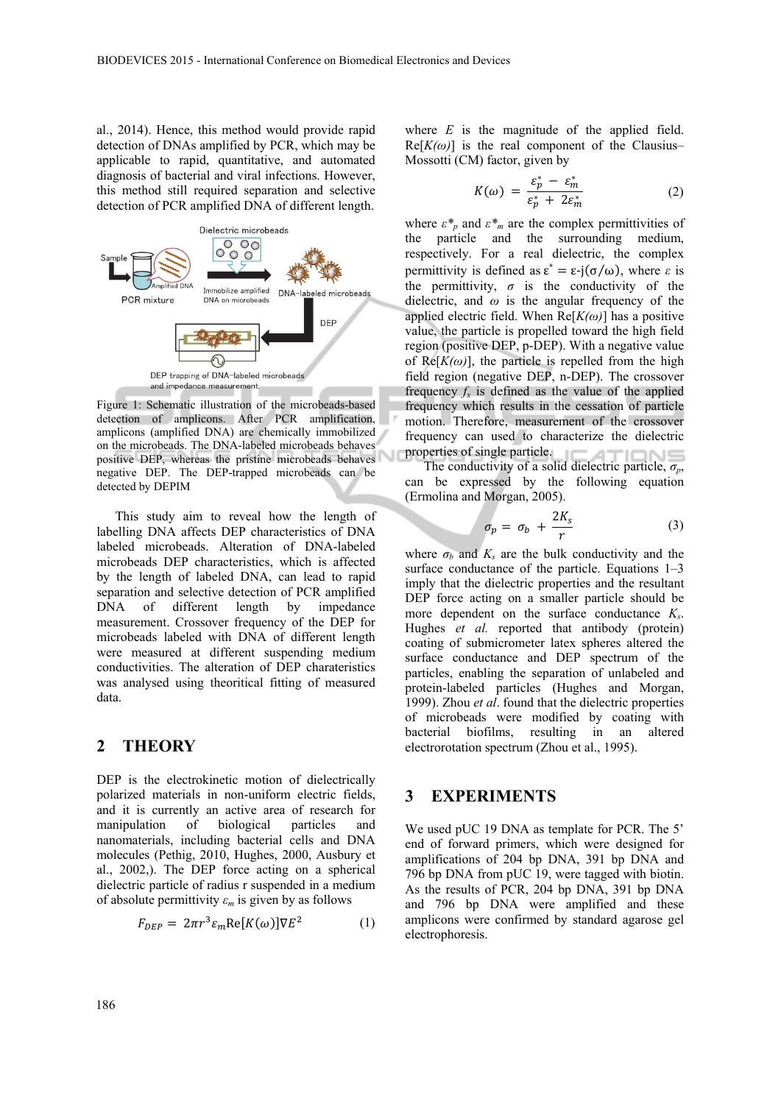al., 2014). Hence, this method would provide rapid detection of DNAs amplified by PCR, which may be applicable to rapid, quantitative, and automated diagnosis of bacterial and viral infections. However, this method still required separation and selective detection of PCR amplified DNA of different length.



Figure 1: Schematic illustration of the microbeads-based detection of amplicons. After PCR amplification, amplicons (amplified DNA) are chemically immobilized on the microbeads. The DNA-labeled microbeads behaves positive DEP, whereas the pristine microbeads behaves negative DEP. The DEP-trapped microbeads can be detected by DEPIM

This study aim to reveal how the length of labelling DNA affects DEP characteristics of DNA labeled microbeads. Alteration of DNA-labeled microbeads DEP characteristics, which is affected by the length of labeled DNA, can lead to rapid separation and selective detection of PCR amplified DNA of different length by impedance measurement. Crossover frequency of the DEP for microbeads labeled with DNA of different length were measured at different suspending medium conductivities. The alteration of DEP charateristics was analysed using theoritical fitting of measured data.

### **2 THEORY**

DEP is the electrokinetic motion of dielectrically polarized materials in non-uniform electric fields, and it is currently an active area of research for manipulation of biological particles and nanomaterials, including bacterial cells and DNA molecules (Pethig, 2010, Hughes, 2000, Ausbury et al., 2002,). The DEP force acting on a spherical dielectric particle of radius r suspended in a medium of absolute permittivity  $\varepsilon_m$  is given by as follows

$$
F_{DEP} = 2\pi r^3 \varepsilon_m \text{Re}[K(\omega)] \nabla E^2 \tag{1}
$$

where *E* is the magnitude of the applied field.  $Re[K(\omega)]$  is the real component of the Clausius– Mossotti (CM) factor, given by

$$
K(\omega) = \frac{\varepsilon_p^* - \varepsilon_m^*}{\varepsilon_p^* + 2\varepsilon_m^*} \tag{2}
$$

where  $\varepsilon^*$ <sub>*n*</sub> and  $\varepsilon^*$ <sub>*m*</sub> are the complex permittivities of the particle and the surrounding medium, respectively. For a real dielectric, the complex permittivity is defined as  $\epsilon^* = \epsilon \cdot j(\sigma/\omega)$ , where  $\epsilon$  is the permittivity,  $\sigma$  is the conductivity of the dielectric, and *ω* is the angular frequency of the applied electric field. When  $Re[K(\omega)]$  has a positive value, the particle is propelled toward the high field region (positive DEP, p-DEP). With a negative value of  $Re[K(\omega)]$ , the particle is repelled from the high field region (negative DEP, n-DEP). The crossover frequency  $f_x$  is defined as the value of the applied frequency which results in the cessation of particle motion. Therefore, measurement of the crossover frequency can used to characterize the dielectric properties of single particle.

The conductivity of a solid dielectric particle,  $\sigma_p$ , can be expressed by the following equation (Ermolina and Morgan, 2005).

$$
\sigma_p = \sigma_b + \frac{2K_s}{r} \tag{3}
$$

where  $\sigma_b$  and  $K_s$  are the bulk conductivity and the surface conductance of the particle. Equations 1–3 imply that the dielectric properties and the resultant DEP force acting on a smaller particle should be more dependent on the surface conductance *Ks*. Hughes *et al.* reported that antibody (protein) coating of submicrometer latex spheres altered the surface conductance and DEP spectrum of the particles, enabling the separation of unlabeled and protein-labeled particles (Hughes and Morgan, 1999). Zhou *et al*. found that the dielectric properties of microbeads were modified by coating with bacterial biofilms, resulting in an altered electrorotation spectrum (Zhou et al., 1995).

#### **3 EXPERIMENTS**

We used pUC 19 DNA as template for PCR. The 5' end of forward primers, which were designed for amplifications of 204 bp DNA, 391 bp DNA and 796 bp DNA from pUC 19, were tagged with biotin. As the results of PCR, 204 bp DNA, 391 bp DNA and 796 bp DNA were amplified and these amplicons were confirmed by standard agarose gel electrophoresis.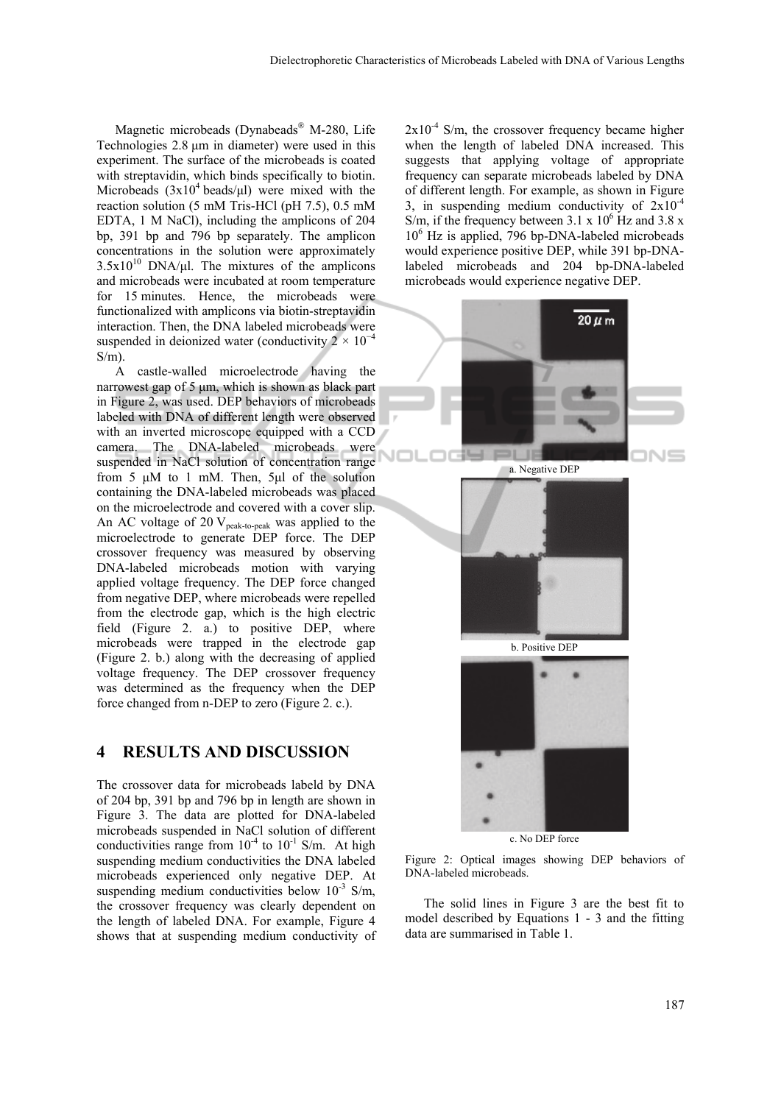Magnetic microbeads (Dynabeads® M-280, Life Technologies 2.8 μm in diameter) were used in this experiment. The surface of the microbeads is coated with streptavidin, which binds specifically to biotin. Microbeads  $(3x10^4 \text{ beads/}\mu\text{I})$  were mixed with the reaction solution (5 mM Tris-HCl (pH 7.5), 0.5 mM EDTA, 1 M NaCl), including the amplicons of 204 bp, 391 bp and 796 bp separately. The amplicon concentrations in the solution were approximately  $3.5x10^{10}$  DNA/μl. The mixtures of the amplicons and microbeads were incubated at room temperature for 15 minutes. Hence, the microbeads were functionalized with amplicons via biotin-streptavidin interaction. Then, the DNA labeled microbeads were suspended in deionized water (conductivity  $2 \times 10^{-4}$  $S/m$ ).

A castle-walled microelectrode having the narrowest gap of 5 μm, which is shown as black part in Figure 2, was used. DEP behaviors of microbeads labeled with DNA of different length were observed with an inverted microscope equipped with a CCD camera. The DNA-labeled microbeads were suspended in NaCl solution of concentration range from 5 μM to 1 mM. Then, 5μl of the solution containing the DNA-labeled microbeads was placed on the microelectrode and covered with a cover slip. An AC voltage of 20  $V_{peak-to-peak}$  was applied to the microelectrode to generate DEP force. The DEP crossover frequency was measured by observing DNA-labeled microbeads motion with varying applied voltage frequency. The DEP force changed from negative DEP, where microbeads were repelled from the electrode gap, which is the high electric field (Figure 2. a.) to positive DEP, where microbeads were trapped in the electrode gap (Figure 2. b.) along with the decreasing of applied voltage frequency. The DEP crossover frequency was determined as the frequency when the DEP force changed from n-DEP to zero (Figure 2. c.).

## **4 RESULTS AND DISCUSSION**

The crossover data for microbeads labeld by DNA of 204 bp, 391 bp and 796 bp in length are shown in Figure 3. The data are plotted for DNA-labeled microbeads suspended in NaCl solution of different conductivities range from  $10^{-4}$  to  $10^{-1}$  S/m. At high suspending medium conductivities the DNA labeled microbeads experienced only negative DEP. At suspending medium conductivities below  $10^{-3}$  S/m, the crossover frequency was clearly dependent on the length of labeled DNA. For example, Figure 4 shows that at suspending medium conductivity of  $2x10^{-4}$  S/m, the crossover frequency became higher when the length of labeled DNA increased. This suggests that applying voltage of appropriate frequency can separate microbeads labeled by DNA of different length. For example, as shown in Figure 3, in suspending medium conductivity of  $2x10^{-4}$ S/m, if the frequency between  $3.1 \times 10^6$  Hz and  $3.8 \times$ 10<sup>6</sup> Hz is applied, 796 bp-DNA-labeled microbeads would experience positive DEP, while 391 bp-DNAlabeled microbeads and 204 bp-DNA-labeled microbeads would experience negative DEP.



c. No DEP force



The solid lines in Figure 3 are the best fit to model described by Equations 1 - 3 and the fitting data are summarised in Table 1.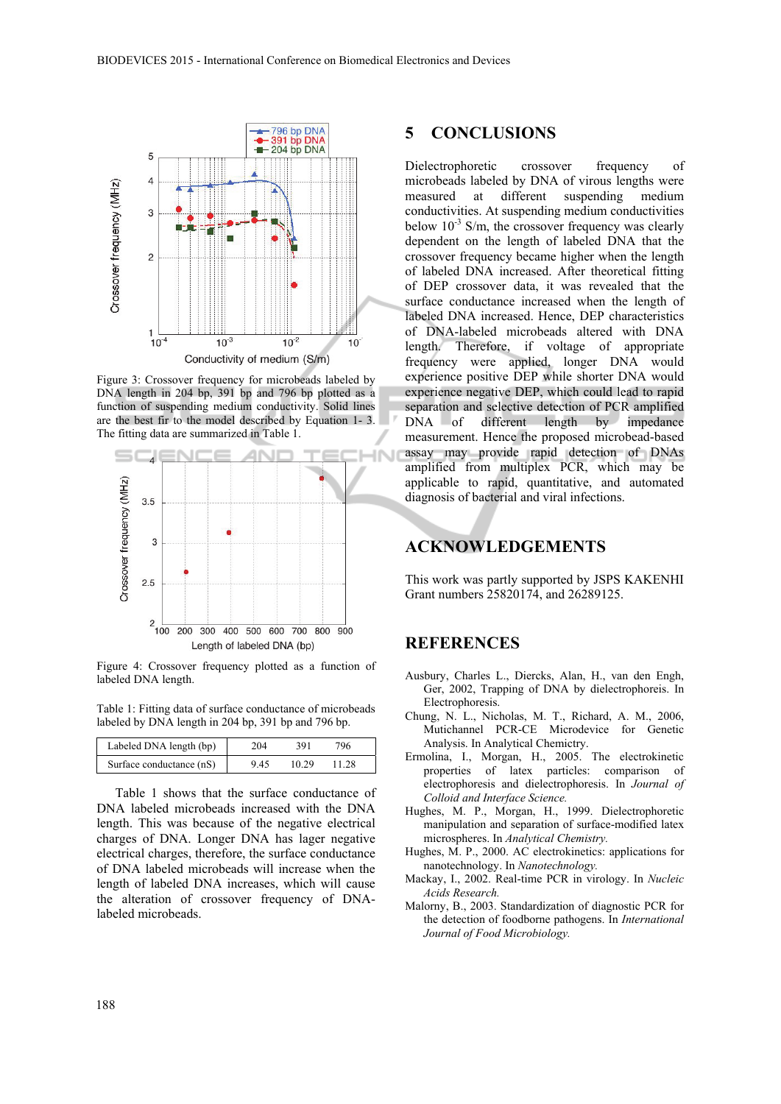

Figure 3: Crossover frequency for microbeads labeled by DNA length in 204 bp, 391 bp and 796 bp plotted as a function of suspending medium conductivity. Solid lines are the best fir to the model described by Equation 1- 3. The fitting data are summarized in Table 1.



Figure 4: Crossover frequency plotted as a function of labeled DNA length.

Table 1: Fitting data of surface conductance of microbeads labeled by DNA length in 204 bp, 391 bp and 796 bp.

| Labeled DNA length (bp)  | 204  | 391   | 796   |  |
|--------------------------|------|-------|-------|--|
| Surface conductance (nS) | 9.45 | 10.29 | 11.28 |  |

Table 1 shows that the surface conductance of DNA labeled microbeads increased with the DNA length. This was because of the negative electrical charges of DNA. Longer DNA has lager negative electrical charges, therefore, the surface conductance of DNA labeled microbeads will increase when the length of labeled DNA increases, which will cause the alteration of crossover frequency of DNAlabeled microbeads.

#### **5 CONCLUSIONS**

Dielectrophoretic crossover frequency of microbeads labeled by DNA of virous lengths were measured at different suspending medium conductivities. At suspending medium conductivities below  $10^{-3}$  S/m, the crossover frequency was clearly dependent on the length of labeled DNA that the crossover frequency became higher when the length of labeled DNA increased. After theoretical fitting of DEP crossover data, it was revealed that the surface conductance increased when the length of labeled DNA increased. Hence, DEP characteristics of DNA-labeled microbeads altered with DNA length. Therefore, if voltage of appropriate frequency were applied, longer DNA would experience positive DEP while shorter DNA would experience negative DEP, which could lead to rapid separation and selective detection of PCR amplified DNA of different length by impedance measurement. Hence the proposed microbead-based assay may provide rapid detection of DNAs amplified from multiplex PCR, which may be applicable to rapid, quantitative, and automated diagnosis of bacterial and viral infections.

# **ACKNOWLEDGEMENTS**

This work was partly supported by JSPS KAKENHI Grant numbers 25820174, and 26289125.

## **REFERENCES**

- Ausbury, Charles L., Diercks, Alan, H., van den Engh, Ger, 2002, Trapping of DNA by dielectrophoreis. In Electrophoresis.
- Chung, N. L., Nicholas, M. T., Richard, A. M., 2006, Mutichannel PCR-CE Microdevice for Genetic Analysis. In Analytical Chemictry.
- Ermolina, I., Morgan, H., 2005. The electrokinetic properties of latex particles: comparison of electrophoresis and dielectrophoresis. In *Journal of Colloid and Interface Science.*
- Hughes, M. P., Morgan, H., 1999. Dielectrophoretic manipulation and separation of surface-modified latex microspheres. In *Analytical Chemistry.*
- Hughes, M. P., 2000. AC electrokinetics: applications for nanotechnology. In *Nanotechnology.*
- Mackay, I., 2002. Real-time PCR in virology. In *Nucleic Acids Research.*
- Malorny, B., 2003. Standardization of diagnostic PCR for the detection of foodborne pathogens. In *International Journal of Food Microbiology.*